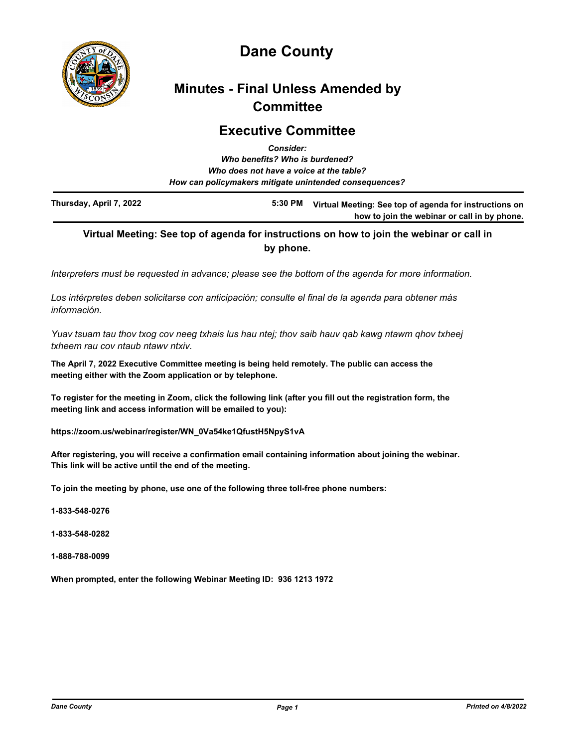

# **Dane County**

# **Minutes - Final Unless Amended by Committee**

## **Executive Committee** *Consider:*

|                         | Gonsider.<br>Who benefits? Who is burdened?                                                       |                                                        |
|-------------------------|---------------------------------------------------------------------------------------------------|--------------------------------------------------------|
|                         | Who does not have a voice at the table?<br>How can policymakers mitigate unintended consequences? |                                                        |
| Thursday, April 7, 2022 | 5:30 PM                                                                                           | Virtual Meeting: See top of agenda for instructions on |

# **Virtual Meeting: See top of agenda for instructions on how to join the webinar or call in by phone.**

**how to join the webinar or call in by phone.**

*Interpreters must be requested in advance; please see the bottom of the agenda for more information.*

*Los intérpretes deben solicitarse con anticipación; consulte el final de la agenda para obtener más información.*

*Yuav tsuam tau thov txog cov neeg txhais lus hau ntej; thov saib hauv qab kawg ntawm qhov txheej txheem rau cov ntaub ntawv ntxiv.*

**The April 7, 2022 Executive Committee meeting is being held remotely. The public can access the meeting either with the Zoom application or by telephone.** 

**To register for the meeting in Zoom, click the following link (after you fill out the registration form, the meeting link and access information will be emailed to you):** 

**https://zoom.us/webinar/register/WN\_0Va54ke1QfustH5NpyS1vA**

**After registering, you will receive a confirmation email containing information about joining the webinar. This link will be active until the end of the meeting.**

**To join the meeting by phone, use one of the following three toll-free phone numbers:**

**1-833-548-0276**

**1-833-548-0282**

**1-888-788-0099**

**When prompted, enter the following Webinar Meeting ID: 936 1213 1972**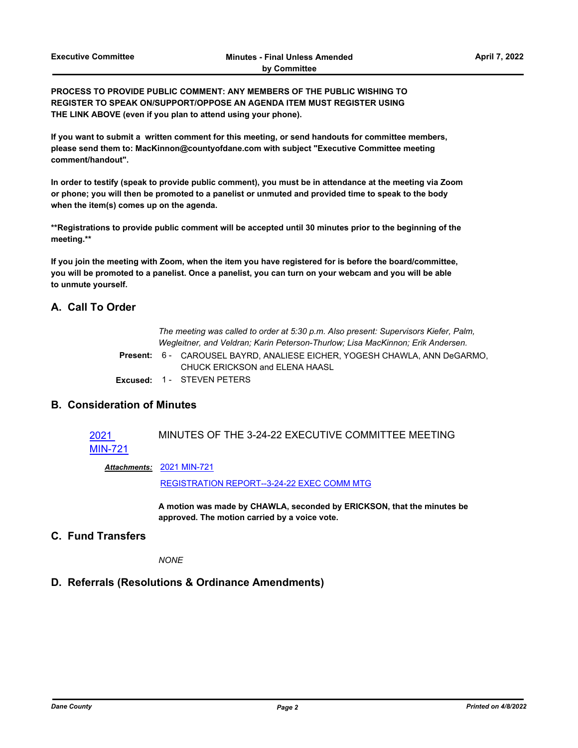**PROCESS TO PROVIDE PUBLIC COMMENT: ANY MEMBERS OF THE PUBLIC WISHING TO REGISTER TO SPEAK ON/SUPPORT/OPPOSE AN AGENDA ITEM MUST REGISTER USING THE LINK ABOVE (even if you plan to attend using your phone).**

**If you want to submit a written comment for this meeting, or send handouts for committee members, please send them to: MacKinnon@countyofdane.com with subject "Executive Committee meeting comment/handout".**

**In order to testify (speak to provide public comment), you must be in attendance at the meeting via Zoom or phone; you will then be promoted to a panelist or unmuted and provided time to speak to the body when the item(s) comes up on the agenda.**

**\*\*Registrations to provide public comment will be accepted until 30 minutes prior to the beginning of the meeting.\*\***

**If you join the meeting with Zoom, when the item you have registered for is before the board/committee, you will be promoted to a panelist. Once a panelist, you can turn on your webcam and you will be able to unmute yourself.**

#### **A. Call To Order**

*The meeting was called to order at 5:30 p.m. Also present: Supervisors Kiefer, Palm, Wegleitner, and Veldran; Karin Peterson-Thurlow; Lisa MacKinnon; Erik Andersen.*

Present: 6 - CAROUSEL BAYRD, ANALIESE EICHER, YOGESH CHAWLA, ANN DeGARMO, CHUCK ERICKSON and ELENA HAASL

**Excused:** 1 - STEVEN PETERS

### **B. Consideration of Minutes**

#### 2021 [MIN-721](http://dane.legistar.com/gateway.aspx?m=l&id=/matter.aspx?key=22617) MINUTES OF THE 3-24-22 EXECUTIVE COMMITTEE MEETING

[2021 MIN-721](http://dane.legistar.com/gateway.aspx?M=F&ID=c588b198-5f71-40d3-91ea-e1aa61becd3e.pdf) *Attachments:*

[REGISTRATION REPORT--3-24-22 EXEC COMM MTG](http://dane.legistar.com/gateway.aspx?M=F&ID=67069cd9-e9a3-4782-910a-11bfd88e6d4c.xlsx)

**A motion was made by CHAWLA, seconded by ERICKSON, that the minutes be approved. The motion carried by a voice vote.**

### **C. Fund Transfers**

*NONE*

# **D. Referrals (Resolutions & Ordinance Amendments)**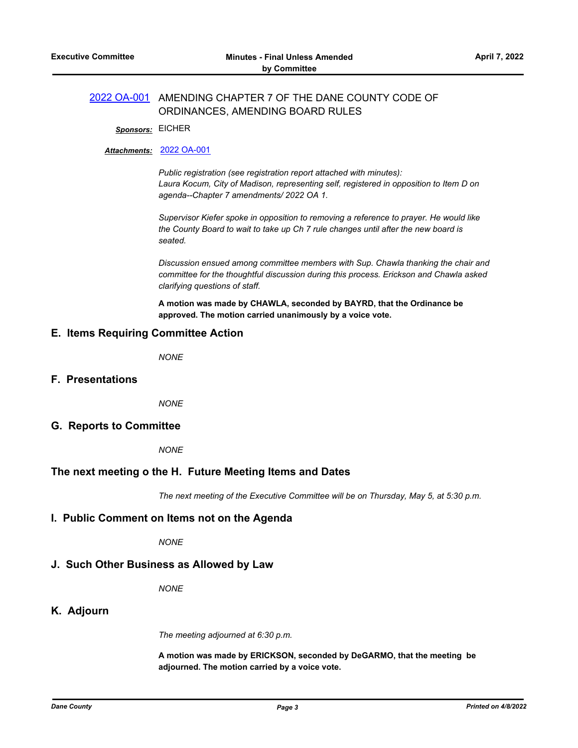#### [2022 OA-001](http://dane.legistar.com/gateway.aspx?m=l&id=/matter.aspx?key=22615) AMENDING CHAPTER 7 OF THE DANE COUNTY CODE OF ORDINANCES, AMENDING BOARD RULES

*Sponsors:* EICHER

#### *Attachments:* [2022 OA-001](http://dane.legistar.com/gateway.aspx?M=F&ID=216e5e97-69eb-4ddb-9f42-3b7311c089e9.pdf)

*Public registration (see registration report attached with minutes): Laura Kocum, City of Madison, representing self, registered in opposition to Item D on agenda--Chapter 7 amendments/ 2022 OA 1.*

*Supervisor Kiefer spoke in opposition to removing a reference to prayer. He would like the County Board to wait to take up Ch 7 rule changes until after the new board is seated.*

*Discussion ensued among committee members with Sup. Chawla thanking the chair and committee for the thoughtful discussion during this process. Erickson and Chawla asked clarifying questions of staff.*

**A motion was made by CHAWLA, seconded by BAYRD, that the Ordinance be approved. The motion carried unanimously by a voice vote.**

#### **E. Items Requiring Committee Action**

*NONE*

**F. Presentations**

*NONE*

#### **G. Reports to Committee**

*NONE*

#### **The next meeting o the H. Future Meeting Items and Dates**

*The next meeting of the Executive Committee will be on Thursday, May 5, at 5:30 p.m.*

#### **I. Public Comment on Items not on the Agenda**

*NONE*

# **J. Such Other Business as Allowed by Law**

*NONE*

# **K. Adjourn**

*The meeting adjourned at 6:30 p.m.*

**A motion was made by ERICKSON, seconded by DeGARMO, that the meeting be adjourned. The motion carried by a voice vote.**